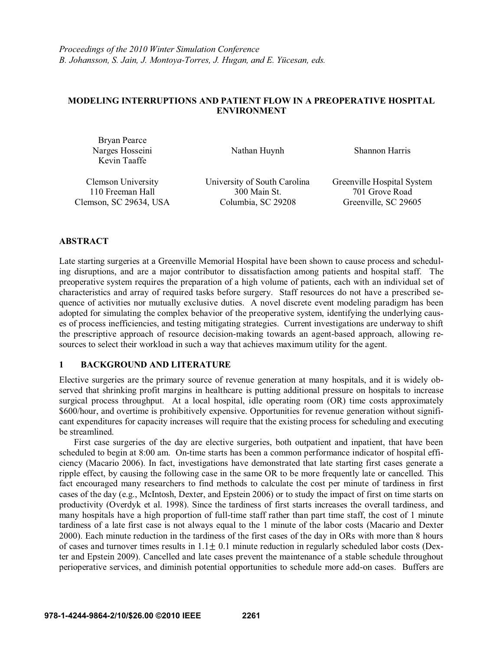# **MODELING INTERRUPTIONS AND PATIENT FLOW IN A PREOPERATIVE HOSPITAL ENVIRONMENT**

| Bryan Pearce<br>Narges Hosseini<br>Kevin Taaffe | Nathan Huynh                 | <b>Shannon Harris</b>      |  |
|-------------------------------------------------|------------------------------|----------------------------|--|
| Clemson University                              | University of South Carolina | Greenville Hospital System |  |

110 Freeman Hall 300 Main St. 701 Grove Road Clemson, SC 29634, USA Columbia, SC 29208 Greenville, SC 29605

# **ABSTRACT**

Late starting surgeries at a Greenville Memorial Hospital have been shown to cause process and scheduling disruptions, and are a major contributor to dissatisfaction among patients and hospital staff. The preoperative system requires the preparation of a high volume of patients, each with an individual set of characteristics and array of required tasks before surgery. Staff resources do not have a prescribed sequence of activities nor mutually exclusive duties. A novel discrete event modeling paradigm has been adopted for simulating the complex behavior of the preoperative system, identifying the underlying causes of process inefficiencies, and testing mitigating strategies. Current investigations are underway to shift the prescriptive approach of resource decision-making towards an agent-based approach, allowing resources to select their workload in such a way that achieves maximum utility for the agent.

# **1 BACKGROUND AND LITERATURE**

Elective surgeries are the primary source of revenue generation at many hospitals, and it is widely observed that shrinking profit margins in healthcare is putting additional pressure on hospitals to increase surgical process throughput. At a local hospital, idle operating room (OR) time costs approximately \$600/hour, and overtime is prohibitively expensive. Opportunities for revenue generation without significant expenditures for capacity increases will require that the existing process for scheduling and executing be streamlined.

First case surgeries of the day are elective surgeries, both outpatient and inpatient, that have been scheduled to begin at 8:00 am. On-time starts has been a common performance indicator of hospital efficiency (Macario 2006). In fact, investigations have demonstrated that late starting first cases generate a ripple effect, by causing the following case in the same OR to be more frequently late or cancelled. This fact encouraged many researchers to find methods to calculate the cost per minute of tardiness in first cases of the day (e.g., McIntosh, Dexter, and Epstein 2006) or to study the impact of first on time starts on productivity (Overdyk et al. 1998). Since the tardiness of first starts increases the overall tardiness, and many hospitals have a high proportion of full-time staff rather than part time staff, the cost of 1 minute tardiness of a late first case is not always equal to the 1 minute of the labor costs (Macario and Dexter 2000). Each minute reduction in the tardiness of the first cases of the day in ORs with more than 8 hours of cases and turnover times results in  $1.1+0.1$  minute reduction in regularly scheduled labor costs (Dexter and Epstein 2009). Cancelled and late cases prevent the maintenance of a stable schedule throughout perioperative services, and diminish potential opportunities to schedule more add-on cases. Buffers are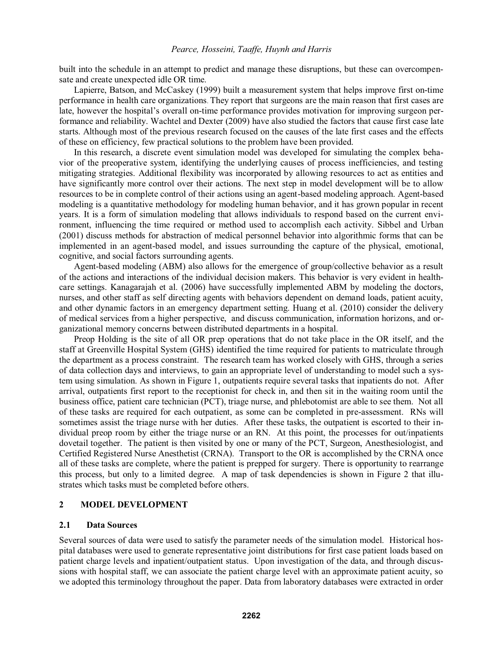built into the schedule in an attempt to predict and manage these disruptions, but these can overcompensate and create unexpected idle OR time.

Lapierre, Batson, and McCaskey (1999) built a measurement system that helps improve first on-time performance in health care organizations. They report that surgeons are the main reason that first cases are late, however the hospital's overall on-time performance provides motivation for improving surgeon performance and reliability. Wachtel and Dexter (2009) have also studied the factors that cause first case late starts. Although most of the previous research focused on the causes of the late first cases and the effects of these on efficiency, few practical solutions to the problem have been provided.

In this research, a discrete event simulation model was developed for simulating the complex behavior of the preoperative system, identifying the underlying causes of process inefficiencies, and testing mitigating strategies. Additional flexibility was incorporated by allowing resources to act as entities and have significantly more control over their actions. The next step in model development will be to allow resources to be in complete control of their actions using an agent-based modeling approach. Agent-based modeling is a quantitative methodology for modeling human behavior, and it has grown popular in recent years. It is a form of simulation modeling that allows individuals to respond based on the current environment, influencing the time required or method used to accomplish each activity. Sibbel and Urban (2001) discuss methods for abstraction of medical personnel behavior into algorithmic forms that can be implemented in an agent-based model, and issues surrounding the capture of the physical, emotional, cognitive, and social factors surrounding agents.

Agent-based modeling (ABM) also allows for the emergence of group/collective behavior as a result of the actions and interactions of the individual decision makers. This behavior is very evident in healthcare settings. Kanagarajah et al. (2006) have successfully implemented ABM by modeling the doctors, nurses, and other staff as self directing agents with behaviors dependent on demand loads, patient acuity, and other dynamic factors in an emergency department setting. Huang et al. (2010) consider the delivery of medical services from a higher perspective, and discuss communication, information horizons, and organizational memory concerns between distributed departments in a hospital.

Preop Holding is the site of all OR prep operations that do not take place in the OR itself, and the staff at Greenville Hospital System (GHS) identified the time required for patients to matriculate through the department as a process constraint. The research team has worked closely with GHS, through a series of data collection days and interviews, to gain an appropriate level of understanding to model such a system using simulation. As shown in Figure 1, outpatients require several tasks that inpatients do not. After arrival, outpatients first report to the receptionist for check in, and then sit in the waiting room until the business office, patient care technician (PCT), triage nurse, and phlebotomist are able to see them. Not all of these tasks are required for each outpatient, as some can be completed in pre-assessment. RNs will sometimes assist the triage nurse with her duties. After these tasks, the outpatient is escorted to their individual preop room by either the triage nurse or an RN. At this point, the processes for out/inpatients dovetail together. The patient is then visited by one or many of the PCT, Surgeon, Anesthesiologist, and Certified Registered Nurse Anesthetist (CRNA). Transport to the OR is accomplished by the CRNA once all of these tasks are complete, where the patient is prepped for surgery. There is opportunity to rearrange this process, but only to a limited degree. A map of task dependencies is shown in Figure 2 that illustrates which tasks must be completed before others.

### **2 MODEL DEVELOPMENT**

### **2.1 Data Sources**

Several sources of data were used to satisfy the parameter needs of the simulation model. Historical hospital databases were used to generate representative joint distributions for first case patient loads based on patient charge levels and inpatient/outpatient status. Upon investigation of the data, and through discussions with hospital staff, we can associate the patient charge level with an approximate patient acuity, so we adopted this terminology throughout the paper. Data from laboratory databases were extracted in order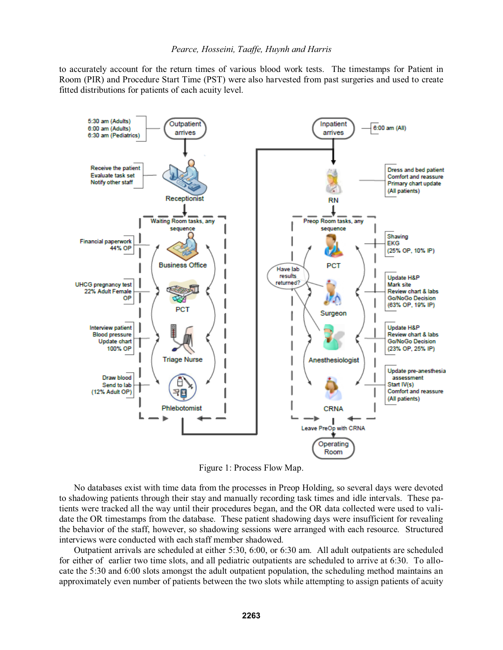to accurately account for the return times of various blood work tests. The timestamps for Patient in Room (PIR) and Procedure Start Time (PST) were also harvested from past surgeries and used to create fitted distributions for patients of each acuity level.



Figure 1: Process Flow Map.

No databases exist with time data from the processes in Preop Holding, so several days were devoted to shadowing patients through their stay and manually recording task times and idle intervals. These patients were tracked all the way until their procedures began, and the OR data collected were used to validate the OR timestamps from the database. These patient shadowing days were insufficient for revealing the behavior of the staff, however, so shadowing sessions were arranged with each resource. Structured interviews were conducted with each staff member shadowed.

 Outpatient arrivals are scheduled at either 5:30, 6:00, or 6:30 am. All adult outpatients are scheduled for either of earlier two time slots, and all pediatric outpatients are scheduled to arrive at 6:30. To allocate the 5:30 and 6:00 slots amongst the adult outpatient population, the scheduling method maintains an approximately even number of patients between the two slots while attempting to assign patients of acuity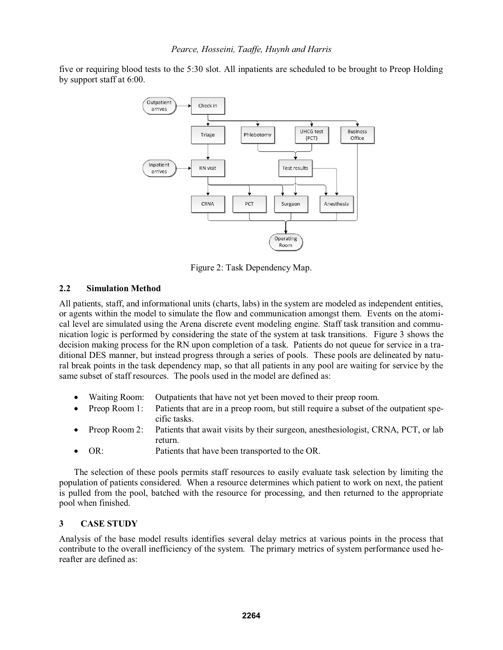five or requiring blood tests to the 5:30 slot. All inpatients are scheduled to be brought to Preop Holding by support staff at 6:00.



Figure 2: Task Dependency Map.

# **2.2 Simulation Method**

All patients, staff, and informational units (charts, labs) in the system are modeled as independent entities, or agents within the model to simulate the flow and communication amongst them. Events on the atomical level are simulated using the Arena discrete event modeling engine. Staff task transition and communication logic is performed by considering the state of the system at task transitions. Figure 3 shows the decision making process for the RN upon completion of a task. Patients do not queue for service in a traditional DES manner, but instead progress through a series of pools. These pools are delineated by natural break points in the task dependency map, so that all patients in any pool are waiting for service by the same subset of staff resources. The pools used in the model are defined as:

- $\bullet$ Waiting Room: Outpatients that have not yet been moved to their preop room.
- $\bullet$  Preop Room 1: Patients that are in a preop room, but still require a subset of the outpatient specific tasks.
- - Preop Room 2: Patients that await visits by their surgeon, anesthesiologist, CRNA, PCT, or lab return.
- $\bullet$ OR: Patients that have been transported to the OR.

 The selection of these pools permits staff resources to easily evaluate task selection by limiting the population of patients considered. When a resource determines which patient to work on next, the patient is pulled from the pool, batched with the resource for processing, and then returned to the appropriate pool when finished.

# **3 CASE STUDY**

Analysis of the base model results identifies several delay metrics at various points in the process that contribute to the overall inefficiency of the system. The primary metrics of system performance used hereafter are defined as: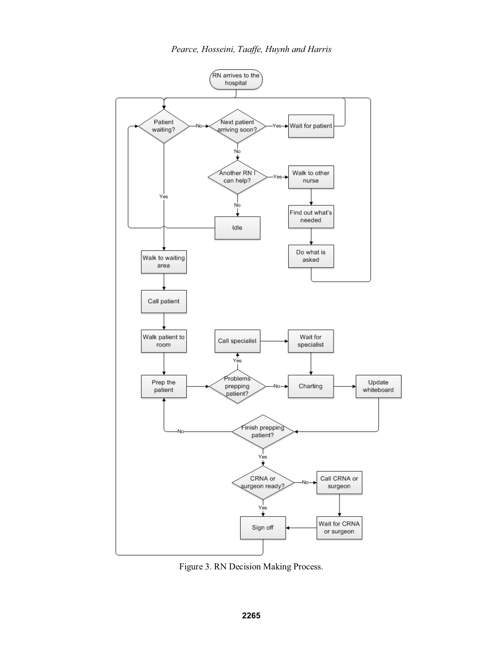

Figure 3. RN Decision Making Process.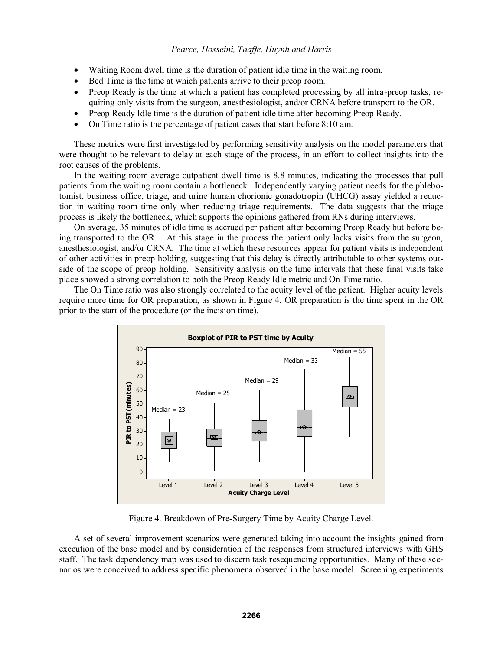- $\bullet$ Waiting Room dwell time is the duration of patient idle time in the waiting room.
- $\bullet$ Bed Time is the time at which patients arrive to their preop room.
- Preop Ready is the time at which a patient has completed processing by all intra-preop tasks, requiring only visits from the surgeon, anesthesiologist, and/or CRNA before transport to the OR.
- $\bullet$ Preop Ready Idle time is the duration of patient idle time after becoming Preop Ready.
- $\bullet$ On Time ratio is the percentage of patient cases that start before 8:10 am.

These metrics were first investigated by performing sensitivity analysis on the model parameters that were thought to be relevant to delay at each stage of the process, in an effort to collect insights into the root causes of the problems.

In the waiting room average outpatient dwell time is 8.8 minutes, indicating the processes that pull patients from the waiting room contain a bottleneck. Independently varying patient needs for the phlebotomist, business office, triage, and urine human chorionic gonadotropin (UHCG) assay yielded a reduction in waiting room time only when reducing triage requirements. The data suggests that the triage process is likely the bottleneck, which supports the opinions gathered from RNs during interviews.

On average, 35 minutes of idle time is accrued per patient after becoming Preop Ready but before being transported to the OR. At this stage in the process the patient only lacks visits from the surgeon, anesthesiologist, and/or CRNA. The time at which these resources appear for patient visits is independent of other activities in preop holding, suggesting that this delay is directly attributable to other systems outside of the scope of preop holding. Sensitivity analysis on the time intervals that these final visits take place showed a strong correlation to both the Preop Ready Idle metric and On Time ratio.

The On Time ratio was also strongly correlated to the acuity level of the patient. Higher acuity levels require more time for OR preparation, as shown in Figure 4. OR preparation is the time spent in the OR prior to the start of the procedure (or the incision time).



Figure 4. Breakdown of Pre-Surgery Time by Acuity Charge Level.

 A set of several improvement scenarios were generated taking into account the insights gained from execution of the base model and by consideration of the responses from structured interviews with GHS staff. The task dependency map was used to discern task resequencing opportunities. Many of these scenarios were conceived to address specific phenomena observed in the base model. Screening experiments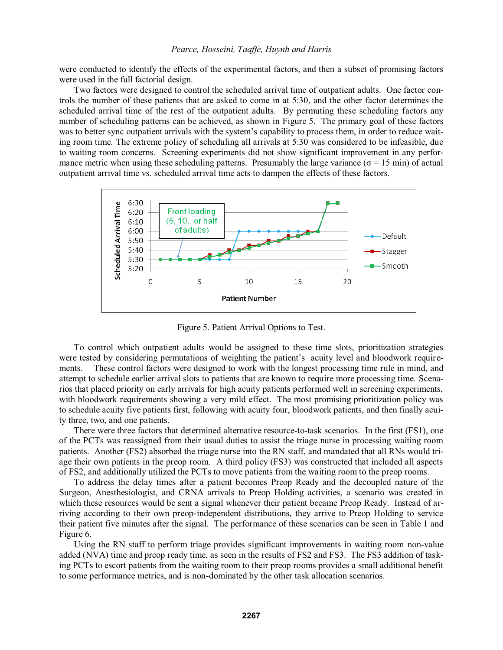were conducted to identify the effects of the experimental factors, and then a subset of promising factors were used in the full factorial design.

Two factors were designed to control the scheduled arrival time of outpatient adults. One factor controls the number of these patients that are asked to come in at 5:30, and the other factor determines the scheduled arrival time of the rest of the outpatient adults. By permuting these scheduling factors any number of scheduling patterns can be achieved, as shown in Figure 5. The primary goal of these factors was to better sync outpatient arrivals with the system's capability to process them, in order to reduce waiting room time. The extreme policy of scheduling all arrivals at 5:30 was considered to be infeasible, due to waiting room concerns. Screening experiments did not show significant improvement in any performance metric when using these scheduling patterns. Presumably the large variance ( $\sigma = 15$  min) of actual outpatient arrival time vs. scheduled arrival time acts to dampen the effects of these factors.



Figure 5. Patient Arrival Options to Test.

To control which outpatient adults would be assigned to these time slots, prioritization strategies were tested by considering permutations of weighting the patient's acuity level and bloodwork requirements. These control factors were designed to work with the longest processing time rule in mind, and attempt to schedule earlier arrival slots to patients that are known to require more processing time. Scenarios that placed priority on early arrivals for high acuity patients performed well in screening experiments, with bloodwork requirements showing a very mild effect. The most promising prioritization policy was to schedule acuity five patients first, following with acuity four, bloodwork patients, and then finally acuity three, two, and one patients.

There were three factors that determined alternative resource-to-task scenarios. In the first (FS1), one of the PCTs was reassigned from their usual duties to assist the triage nurse in processing waiting room patients. Another (FS2) absorbed the triage nurse into the RN staff, and mandated that all RNs would triage their own patients in the preop room. A third policy (FS3) was constructed that included all aspects of FS2, and additionally utilized the PCTs to move patients from the waiting room to the preop rooms.

To address the delay times after a patient becomes Preop Ready and the decoupled nature of the Surgeon, Anesthesiologist, and CRNA arrivals to Preop Holding activities, a scenario was created in which these resources would be sent a signal whenever their patient became Preop Ready. Instead of arriving according to their own preop-independent distributions, they arrive to Preop Holding to service their patient five minutes after the signal. The performance of these scenarios can be seen in Table 1 and Figure 6.

 Using the RN staff to perform triage provides significant improvements in waiting room non-value added (NVA) time and preop ready time, as seen in the results of FS2 and FS3. The FS3 addition of tasking PCTs to escort patients from the waiting room to their preop rooms provides a small additional benefit to some performance metrics, and is non-dominated by the other task allocation scenarios.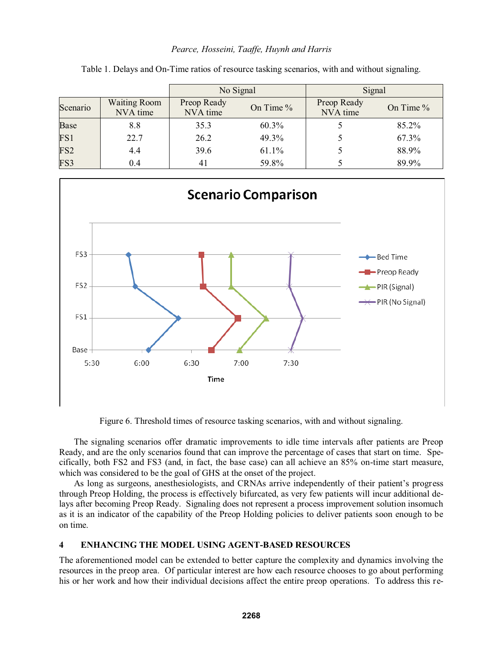|                 |                                 | No Signal               |           | Signal                  |           |
|-----------------|---------------------------------|-------------------------|-----------|-------------------------|-----------|
| Scenario        | <b>Waiting Room</b><br>NVA time | Preop Ready<br>NVA time | On Time % | Preop Ready<br>NVA time | On Time % |
| <b>Base</b>     | 8.8                             | 35.3                    | 60.3%     |                         | 85.2%     |
| FS1             | 22.7                            | 26.2                    | 49.3%     |                         | 67.3%     |
| FS <sub>2</sub> | 4.4                             | 39.6                    | 61.1%     |                         | 88.9%     |
| FS3             | 0.4                             | 41                      | 59.8%     |                         | 89.9%     |

Table 1. Delays and On-Time ratios of resource tasking scenarios, with and without signaling.



Figure 6. Threshold times of resource tasking scenarios, with and without signaling.

The signaling scenarios offer dramatic improvements to idle time intervals after patients are Preop Ready, and are the only scenarios found that can improve the percentage of cases that start on time. Specifically, both FS2 and FS3 (and, in fact, the base case) can all achieve an 85% on-time start measure, which was considered to be the goal of GHS at the onset of the project.

As long as surgeons, anesthesiologists, and CRNAs arrive independently of their patient's progress through Preop Holding, the process is effectively bifurcated, as very few patients will incur additional delays after becoming Preop Ready. Signaling does not represent a process improvement solution insomuch as it is an indicator of the capability of the Preop Holding policies to deliver patients soon enough to be on time.

## **4 ENHANCING THE MODEL USING AGENT-BASED RESOURCES**

The aforementioned model can be extended to better capture the complexity and dynamics involving the resources in the preop area. Of particular interest are how each resource chooses to go about performing his or her work and how their individual decisions affect the entire preop operations. To address this re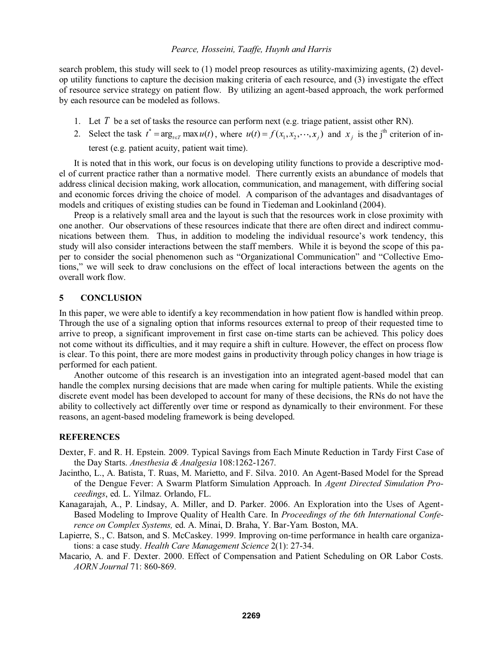search problem, this study will seek to (1) model preop resources as utility-maximizing agents, (2) develop utility functions to capture the decision making criteria of each resource, and (3) investigate the effect of resource service strategy on patient flow. By utilizing an agent-based approach, the work performed by each resource can be modeled as follows.

- 1. Let *T* be a set of tasks the resource can perform next (e.g. triage patient, assist other RN).
- 2. Select the task  $t^* = \arg_{t \in T} \max u(t)$ , where  $u(t) = f(x_1, x_2, \dots, x_j)$  and  $x_j$  is the j<sup>th</sup> criterion of interest (e.g. patient acuity, patient wait time).

It is noted that in this work, our focus is on developing utility functions to provide a descriptive model of current practice rather than a normative model. There currently exists an abundance of models that address clinical decision making, work allocation, communication, and management, with differing social and economic forces driving the choice of model. A comparison of the advantages and disadvantages of models and critiques of existing studies can be found in Tiedeman and Lookinland (2004).

Preop is a relatively small area and the layout is such that the resources work in close proximity with one another. Our observations of these resources indicate that there are often direct and indirect communications between them. Thus, in addition to modeling the individual resource's work tendency, this study will also consider interactions between the staff members. While it is beyond the scope of this paper to consider the social phenomenon such as "Organizational Communication" and "Collective Emotions," we will seek to draw conclusions on the effect of local interactions between the agents on the overall work flow.

## **5 CONCLUSION**

In this paper, we were able to identify a key recommendation in how patient flow is handled within preop. Through the use of a signaling option that informs resources external to preop of their requested time to arrive to preop, a significant improvement in first case on-time starts can be achieved. This policy does not come without its difficulties, and it may require a shift in culture. However, the effect on process flow is clear. To this point, there are more modest gains in productivity through policy changes in how triage is performed for each patient.

Another outcome of this research is an investigation into an integrated agent-based model that can handle the complex nursing decisions that are made when caring for multiple patients. While the existing discrete event model has been developed to account for many of these decisions, the RNs do not have the ability to collectively act differently over time or respond as dynamically to their environment. For these reasons, an agent-based modeling framework is being developed.

### **REFERENCES**

- Dexter, F. and R. H. Epstein. 2009. Typical Savings from Each Minute Reduction in Tardy First Case of the Day Starts. *Anesthesia & Analgesia* 108:1262-1267.
- Jacintho, L., A. Batista, T. Ruas, M. Marietto, and F. Silva. 2010. An Agent-Based Model for the Spread of the Dengue Fever: A Swarm Platform Simulation Approach. In *Agent Directed Simulation Proceedings*, ed. L. Yilmaz. Orlando, FL.
- Kanagarajah, A., P. Lindsay, A. Miller, and D. Parker. 2006. An Exploration into the Uses of Agent-Based Modeling to Improve Quality of Health Care. In *Proceedings of the 6th International Conference on Complex Systems,* ed. A. Minai, D. Braha, Y. Bar-Yam*.* Boston, MA.
- Lapierre, S., C. Batson, and S. McCaskey. 1999. Improving on-time performance in health care organizations: a case study. *Health Care Management Science* 2(1): 27-34.
- Macario, A. and F. Dexter. 2000. Effect of Compensation and Patient Scheduling on OR Labor Costs. *AORN Journal* 71: 860-869.